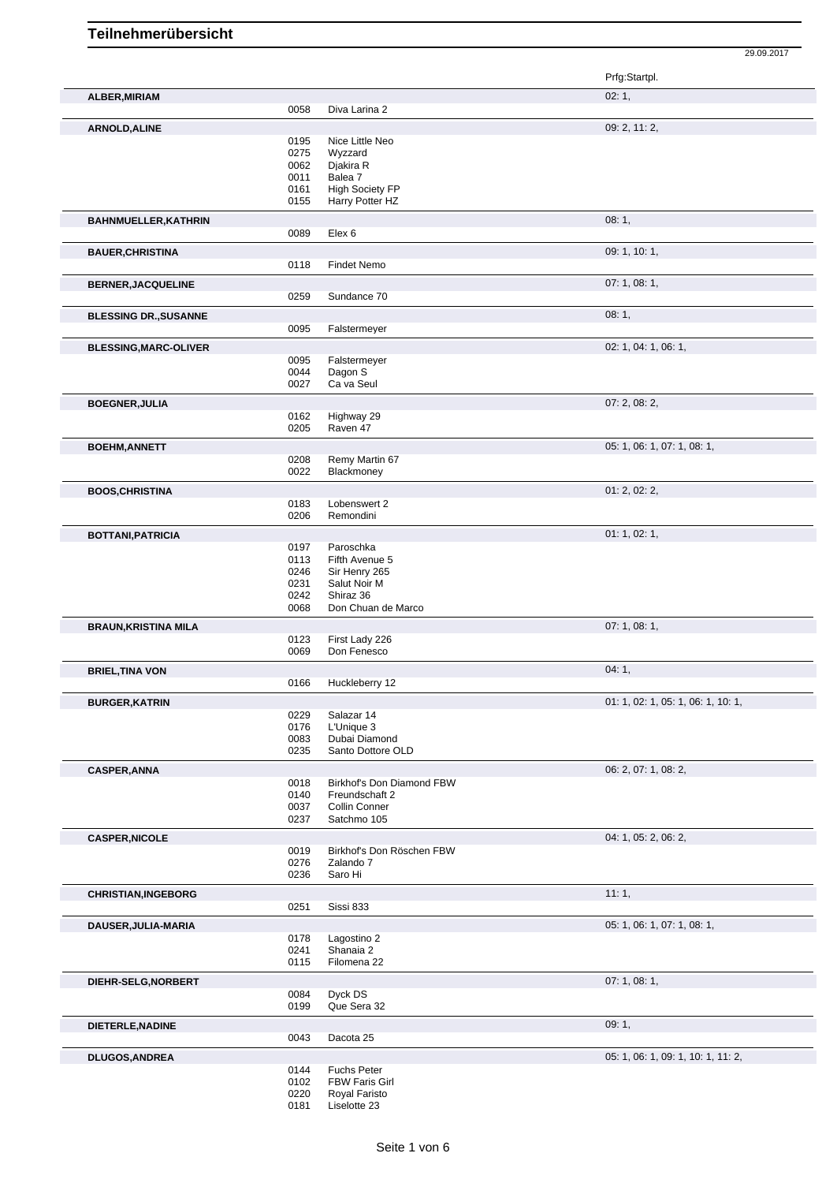## **Teilnehmerübersicht**

Prfg:Startpl. **ALBER, MIRIAM** 02: 1, 0058 Diva Larina 2 **ARNOLD,ALINE** 09: 2, 11: 2, 0195 Nice Little Neo<br>0275 Wyzzard 0275 Wyzzard<br>0062 Djakira R 0062 Djakira R<br>0011 Balea 7 0011 Balea 7<br>0161 High So 0161 High Society FP<br>0155 Harry Potter HZ Harry Potter HZ **BAHNMUELLER,KATHRIN** 08: 1, Elex 6 **BAUER, CHRISTINA** 09: 1, 10: 1, 09: 1, 10: 1, 09: 1, 10: 1, 09: 1, 10: 1, 09: 1, 10: 1, 09: 1, 10: 1, 09: 1, 10: 1, **Findet Nemo BERNER, JACQUELINE** 0259 Sundance 70<br>0259 Sundance 70 Sundance 70 **BLESSING DR., SUSANNE** 0095 Falstermeyer 08: 1, 08: 1, 08: 1, Falstermeyer **BLESSING, MARC-OLIVER** 02: 1, 04: 1, 06: 1, 06: 1, 06: 1, 06: 1, 06: 1, 06: 1, 06: 1, 06: 1, 06: 1, 06: 1, 06: 1, 06: 1, 06: 1, 06: 1, 06: 1, 06: 1, 06: 1, 06: 1, 06: 1, 06: 1, 06: 1, 06: 1, 06: 1, 06: 1, 06: 1, 06: 1, 06 0095 Falstermeyer<br>0044 Dagon S 0044 Dagon S<br>0027 Ca va Se Ca va Seul **BOEGNER, JULIA** 07: 2, 08: 2, 08: 2, 08: 2, 08: 2, 08: 2, 09 Highway 29 0205 Raven 47 **BOEHM,ANNETT** 05: 1, 06: 1, 07: 1, 08: 1, 0208 Remy Martin 67 0022 Blackmoney **BOOS,CHRISTINA** 01: 2, 02: 2, 0183 Lobenswert 2 0206 Remondini **BOTTANI,PATRICIA** 01: 1, 02: 1, 0197 Paroschka<br>0113 Fifth Avenu 0113 Fifth Avenue 5<br>0246 Sir Henry 265 0246 Sir Henry 265<br>0231 Salut Noir M 0231 Salut Noir M<br>0242 Shiraz 36 0242 Shiraz 36<br>0068 Don Chua Don Chuan de Marco **BRAUN, KRISTINA MILA** 07: 1, 08: 1, 0123 First Lady 226<br>0069 Don Fenesco Don Fenesco **BRIEL,TINA VON** 04: 1, 04: 1, 04: 1, 04: 1, 04: 1, 04: 1, 04: 1, 04: 1, 04: 1, 04: 1, 04: 1, 04: 1, 04: 1, 04: 1, 04: 1, 04: 1, 04: 0166 Huckleberry 12 Huckleberry 12 **BURGER,KATRIN** 01: 1, 02: 1, 05: 1, 06: 1, 10: 1, 0229 Salazar 14<br>0176 L'Unique 3 0176 L'Unique 3<br>0083 Dubai Dian 0083 Dubai Diamond<br>0235 Santo Dottore C Santo Dottore OLD **CASPER,ANNA** 06: 2, 07: 1, 08: 2, 07: 1, 08: 2, 07: 1, 08: 2, 07: 1, 08: 2, 07: 1, 08: 2, 07: 1, 08: 2, 07: 1, 08: 2, 0018 Birkhof's Don Diamond FBW<br>0140 Freundschaft 2 Freundschaft 2 0037 Collin Conner 0237 Satchmo 105 **CASPER, NICOLE** 2, 06: 2, 06: 2, 06: 2, 06: 2, 06: 2, 06: 2, 06: 2, 06: 2, 06: 2, 06: 2, 06: 2, 06: 2, 06: 2, 06: 2, 06: 2, 06: 2, 06: 2, 06: 2, 06: 2, 06: 2, 06: 2, 06: 2, 06: 2, 06: 2, 06: 2, 06: 2, 06: 2, 06: 2, 06: 2, 0019 Birkhof's Don Röschen FBW<br>0276 Zalando 7 0276 Zalando 7<br>0236 Saro Hi Saro Hi **CHRISTIAN,INGEBORG** 11: 1, 20251 Sissi 833 Sissi 833 **DAUSER,JULIA-MARIA** 05: 1, 06: 1, 07: 1, 08: 1, 0178 Lagostino 2<br>0241 Shanaia 2 0241 Shanaia 2<br>0115 Filomena 2 Filomena 22 **DIEHR-SELG,NORBERT** 07: 1, 08: 1,<br>
0084 Dyck DS 0084 Dyck DS<br>0199 Que Sera Que Sera 32 **DIETERLE,NADINE** 09: 1, Dacota 25

29.09.2017

**DLUGOS,ANDREA** 05: 1, 06: 1, 09: 1, 10: 1, 11: 2, 05: 1, 06: 1, 09: 1, 10: 1, 11: 2, 05: 1, 06: 1, 09: 1, 10: 1, 11: 2, **Fuchs Peter** 

- 0102 FBW Faris Girl 0220 Royal Faristo
- 0181 Liselotte 23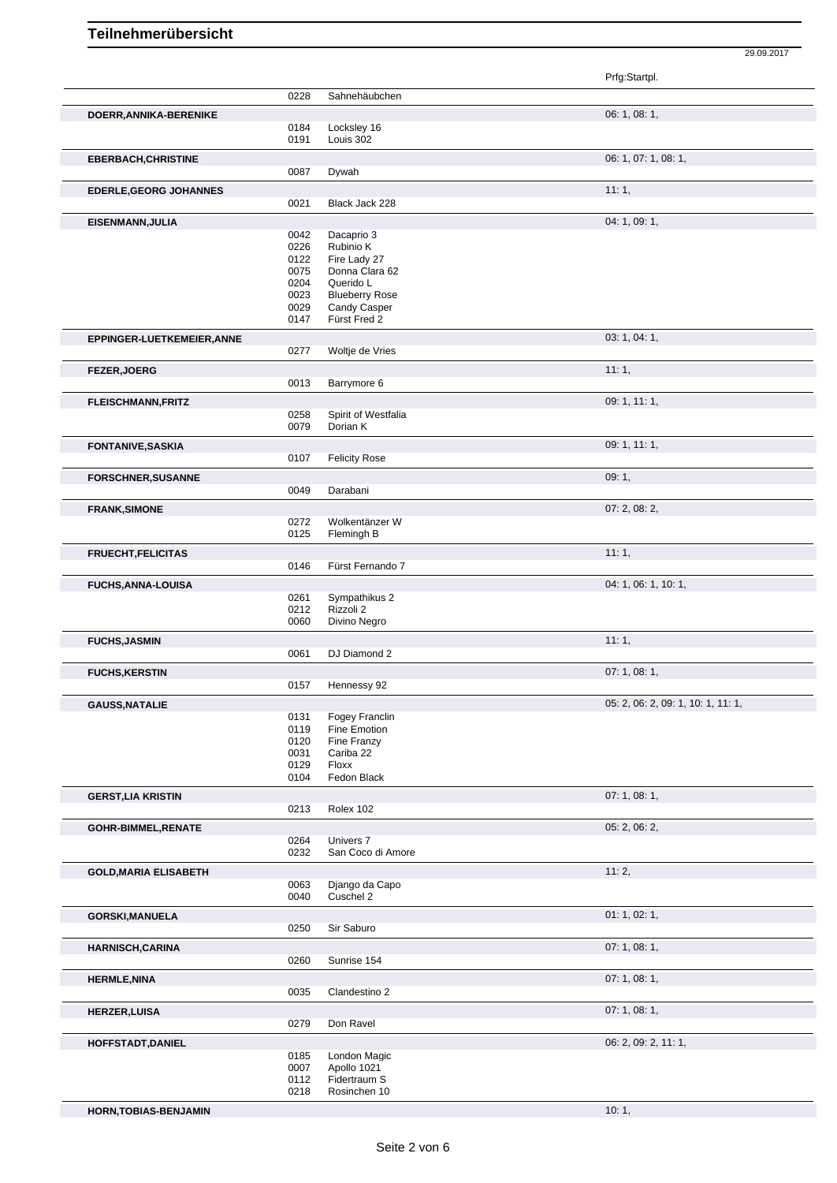## **Teilnehmerübersicht**

Prfg:Startpl. 0228 Sahnehäubchen **DOERR,ANNIKA-BERENIKE** 06: 1, 08: 1, 0184 Locksley 16 0191 Louis 302 **EBERBACH,CHRISTINE** 06: 1, 07: 1, 08: 1, 0087 Dywah **EDERLE,GEORG JOHANNES** 10021 Black Jack 228 Black Jack 228 **EISENMANN,JULIA** 04: 1, 09: 1, 09: 1, 09: 1, 09: 1, 09: 1, 09: 1, 09: 1, 09: 1, 09: 1, 09: 1, 09: 1, 09: 1, 09: 1, 09: 1, 09: 1, 09: 1, 09: 1, 09: 1, 09: 1, 09: 1, 09: 1, 09: 1, 09: 1, 09: 1, 09: 1, 09: 1, 09: 1, 09: 1, 0 Dacaprio 3 0226 Rubinio K 0122 Fire Lady 27<br>0075 Donna Clara 0075 Donna Clara 62<br>0204 Querido L 0204 Querido L<br>0023 Blueberry 0023 Blueberry Rose<br>0029 Candy Casper 0029 Candy Casper<br>0147 Fürst Fred 2 Fürst Fred 2 **EPPINGER-LUETKEMEIER,ANNE** 0277 Woltje de Vries **CONFERENCER 1999** 03: 1, 04: 1, Woltje de Vries **FEZER,JOERG** 11: 1, 0013 Barrymore 6 **FLEISCHMANN,FRITZ** 09: 1, 11: 1, 0258 Spirit of Westfalia<br>0079 Dorian K Dorian K **FONTANIVE,SASKIA** 09: 1, 11: 1, 0107 Felicity Rose Felicity Rose **FORSCHNER,SUSANNE** 09: 1, 0049 Darabani 0044 Darabani 0049 Darabani 00: 1, 09: 1, Darabani **FRANK,SIMONE** 07: 2, 08: 2, 0272 Wolkentänzer W<br>0125 Flemingh B Flemingh B **FRUECHT,FELICITAS** 11: 1, 0146 Fürst Fernando 7 **FUCHS,ANNA-LOUISA** 0261 Sympathikus 2 04: 1, 06: 1, 10: 1, 06: 1, 10: 1, Sympathikus 2 0212 Rizzoli 2 0060 Divino Negro **FUCHS, JASMIN** 11: 1, 2002 **12: 1, 2003** 12: 1, 2004 12: 1, 2004 12: 1, 2004 12: 1, 2004 12: 1, 2004 12: 1, 2004 12: 1, 2004 12: 1, 2004 12: 1, 2004 12: 1, 2004 12: 1, 2004 12: 1, 2004 12: 1, 2004 12: 1, 2004 12: 1, 2004 0061 DJ Diamond 2 **FUCHS,KERSTIN** 07: 1, 08: 1, 0157 Hennessy 92 **GAUSS,NATALIE** 05: 2, 06: 2, 09: 1, 10: 1, 11: 1, 0131 Fogey Franclin<br>0119 Fine Emotion 0119 Fine Emotion<br>0120 Fine Franzy 0120 Fine Franzy<br>0031 Cariba 22 0031 Cariba 22<br>0129 Floxx Floxx 0104 Fedon Black **GERST,LIA KRISTIN** 07: 1, 08: 1, 0213 Rolex 102 **GOHR-BIMMEL, RENATE** 0264 Univers 7 0264 Districts 1999 05: 2, 06: 2, 06: 2, 06: 2, 06: 2, 06: 2, 06: 2, 06: 2, 06: 2, 06: 2, 06: 2, 06: 2, 06: 2, 06: 2, 06: 2, 06: 2, 06: 2, 06: 2, 06: 2, 06: 2, 06: 2, 06: 2, 06: 2, 06: 0264 Univers 7<br>0232 San Cocc San Coco di Amore **GOLD, MARIA ELISABETH** 0063 Django da Capo **11: 2**, 11: 2, Django da Capo 0040 Cuschel 2 **GORSKI,MANUELA** 01: 1, 02: 1, Sir Saburo **HARNISCH,CARINA** 07: 1, 08: 1, 0260 Sunrise 154 **HERMLE, NINA** 07: 1, 08: 1, 08: 1, 08: 1, 08: 1, 08: 1, 08: 1, 09: 1, 09: 1, 09: 1, 09: 1, 09: 1, 09: 1, 09: 1, 09: 1, 09: 1, 09: 1, 09: 1, 09: 1, 09: 1, 09: 1, 09: 1, 09: 1, 09: 1, 09: 1, 09: 1, 09: 1, 09: 1, 09: 1, 09: Clandestino 2 **HERZER,LUISA** 07: 1, 08: 1, 08: 1, 08: 1, 08: 1, 08: 1, 09: 1, 09: 1, 09: 1, 09: 1, 09: 1, 09: 1, 09: 1, 09: 1, 09: 1, 09: 1, 09: 1, 09: 1, 09: 1, 09: 1, 09: 1, 09: 1, 09: 1, 09: 1, 09: 1, 09: 1, 09: 1, 09: 1, 09: 1, 09: Don Ravel **HOFFSTADT,DANIEL** 06: 2, 09: 2, 11: 1, 0185 London Magic<br>0007 Apollo 1021 Apollo 1021 0112 Fidertraum S<br>0218 Rosinchen 10 Rosinchen 10

**HORN,TOBIAS-BENJAMIN** 10: 1,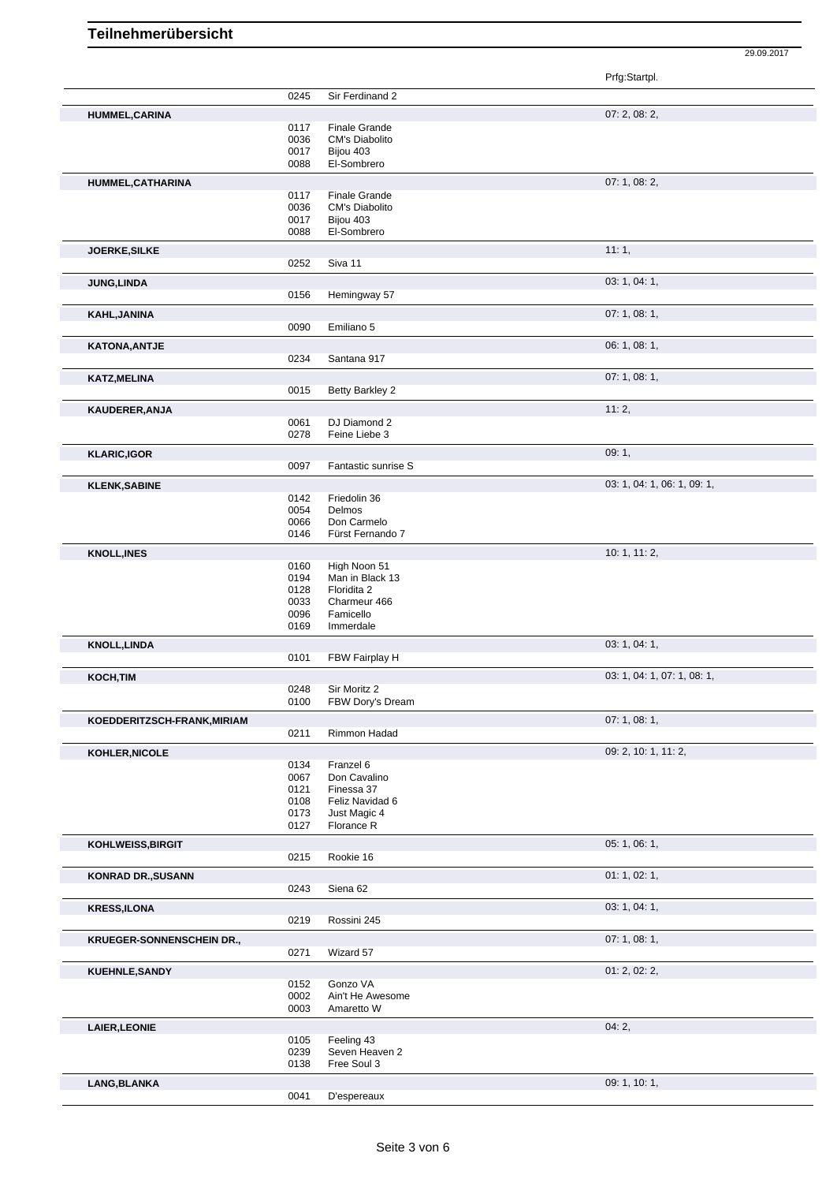|                                  |              |                                        | Prfg:Startpl.               |
|----------------------------------|--------------|----------------------------------------|-----------------------------|
|                                  | 0245         | Sir Ferdinand 2                        |                             |
| HUMMEL, CARINA                   |              |                                        | 07: 2, 08: 2,               |
|                                  | 0117         | Finale Grande                          |                             |
|                                  | 0036         | <b>CM's Diabolito</b>                  |                             |
|                                  | 0017         | Bijou 403                              |                             |
|                                  | 0088         | El-Sombrero                            |                             |
| HUMMEL, CATHARINA                |              |                                        | 07: 1, 08: 2,               |
|                                  | 0117<br>0036 | <b>Finale Grande</b><br>CM's Diabolito |                             |
|                                  | 0017         | Bijou 403                              |                             |
|                                  | 0088         | El-Sombrero                            |                             |
| JOERKE, SILKE                    |              |                                        | 11:1,                       |
|                                  | 0252         | Siva 11                                |                             |
|                                  |              |                                        | 03: 1, 04: 1,               |
| JUNG, LINDA                      | 0156         | Hemingway 57                           |                             |
|                                  |              |                                        | 07:1,08:1,                  |
| KAHL, JANINA                     | 0090         | Emiliano 5                             |                             |
|                                  |              |                                        |                             |
| <b>KATONA, ANTJE</b>             | 0234         | Santana 917                            | 06: 1, 08: 1,               |
|                                  |              |                                        |                             |
| <b>KATZ, MELINA</b>              |              |                                        | 07:1,08:1,                  |
|                                  | 0015         | Betty Barkley 2                        |                             |
| KAUDERER, ANJA                   |              |                                        | 11:2,                       |
|                                  | 0061         | DJ Diamond 2                           |                             |
|                                  | 0278         | Feine Liebe 3                          |                             |
| <b>KLARIC,IGOR</b>               |              |                                        | 09:1,                       |
|                                  | 0097         | Fantastic sunrise S                    |                             |
| <b>KLENK, SABINE</b>             |              |                                        | 03: 1, 04: 1, 06: 1, 09: 1, |
|                                  | 0142         | Friedolin 36                           |                             |
|                                  | 0054<br>0066 | Delmos<br>Don Carmelo                  |                             |
|                                  | 0146         | Fürst Fernando 7                       |                             |
| <b>KNOLL, INES</b>               |              |                                        | 10: 1, 11: 2,               |
|                                  | 0160         | High Noon 51                           |                             |
|                                  | 0194         | Man in Black 13                        |                             |
|                                  | 0128         | Floridita 2                            |                             |
|                                  | 0033         | Charmeur 466                           |                             |
|                                  | 0096<br>0169 | Famicello<br>Immerdale                 |                             |
|                                  |              |                                        | 03: 1, 04: 1,               |
| <b>KNOLL, LINDA</b>              | 0101         | FBW Fairplay H                         |                             |
|                                  |              |                                        |                             |
| KOCH, TIM                        | 0248         | Sir Moritz 2                           | 03: 1, 04: 1, 07: 1, 08: 1, |
|                                  | 0100         | FBW Dory's Dream                       |                             |
| KOEDDERITZSCH-FRANK, MIRIAM      |              |                                        | 07:1,08:1,                  |
|                                  | 0211         | Rimmon Hadad                           |                             |
| KOHLER, NICOLE                   |              |                                        | 09: 2, 10: 1, 11: 2,        |
|                                  | 0134         | Franzel 6                              |                             |
|                                  | 0067         | Don Cavalino                           |                             |
|                                  | 0121         | Finessa 37                             |                             |
|                                  | 0108<br>0173 | Feliz Navidad 6<br>Just Magic 4        |                             |
|                                  | 0127         | Florance R                             |                             |
|                                  |              |                                        | 05:1,06:1,                  |
| KOHLWEISS, BIRGIT                | 0215         | Rookie 16                              |                             |
|                                  |              |                                        |                             |
| <b>KONRAD DR., SUSANN</b>        | 0243         | Siena 62                               | 01: 1, 02: 1,               |
|                                  |              |                                        |                             |
| <b>KRESS,ILONA</b>               |              |                                        | 03: 1, 04: 1,               |
|                                  | 0219         | Rossini 245                            |                             |
| <b>KRUEGER-SONNENSCHEIN DR.,</b> |              |                                        | 07:1,08:1,                  |
|                                  | 0271         | Wizard 57                              |                             |
| <b>KUEHNLE, SANDY</b>            |              |                                        | 01: 2, 02: 2,               |
|                                  | 0152         | Gonzo VA                               |                             |
|                                  | 0002<br>0003 | Ain't He Awesome<br>Amaretto W         |                             |
|                                  |              |                                        |                             |
| LAIER, LEONIE                    |              |                                        | 04:2,                       |
|                                  | 0105<br>0239 | Feeling 43<br>Seven Heaven 2           |                             |
|                                  | 0138         | Free Soul 3                            |                             |
| LANG, BLANKA                     |              |                                        | 09: 1, 10: 1,               |
|                                  |              | D'espereaux                            |                             |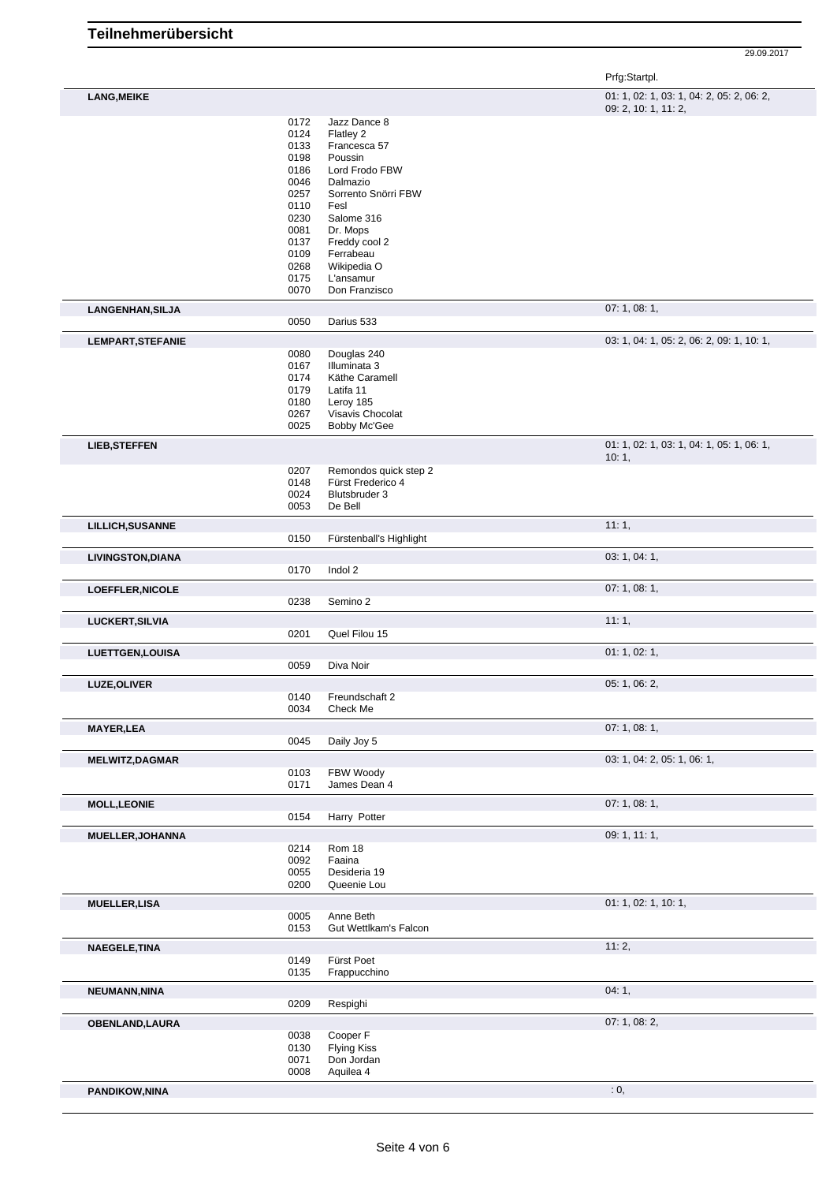Г

29.09.2017

Prfg:Startpl.

| <b>LANG.MEIKE</b> | $01: 1, 02: 1, 03: 1, 04: 2, 05: 2, 06: 2,$ |
|-------------------|---------------------------------------------|
|                   | 09.210.111.2                                |

|                                       |              |                                    | 09: 2, 10: 1, 11: 2,                      |
|---------------------------------------|--------------|------------------------------------|-------------------------------------------|
|                                       | 0172         | Jazz Dance 8                       |                                           |
|                                       | 0124         | Flatley 2                          |                                           |
|                                       | 0133         | Francesca 57                       |                                           |
|                                       | 0198         | Poussin                            |                                           |
|                                       | 0186         | Lord Frodo FBW                     |                                           |
|                                       | 0046         | Dalmazio                           |                                           |
|                                       | 0257         | Sorrento Snörri FBW                |                                           |
|                                       | 0110         | Fesl                               |                                           |
|                                       | 0230         | Salome 316                         |                                           |
|                                       | 0081         | Dr. Mops                           |                                           |
|                                       | 0137         | Freddy cool 2                      |                                           |
|                                       | 0109         | Ferrabeau                          |                                           |
|                                       | 0268         | Wikipedia O                        |                                           |
|                                       | 0175<br>0070 | L'ansamur<br>Don Franzisco         |                                           |
|                                       |              |                                    |                                           |
| LANGENHAN, SILJA                      |              |                                    | 07: 1, 08: 1,                             |
|                                       | 0050         | Darius 533                         |                                           |
| LEMPART, STEFANIE                     |              |                                    | 03: 1, 04: 1, 05: 2, 06: 2, 09: 1, 10: 1, |
|                                       | 0080         | Douglas 240                        |                                           |
|                                       | 0167         | Illuminata 3                       |                                           |
|                                       | 0174         | Käthe Caramell                     |                                           |
|                                       | 0179         | Latifa 11                          |                                           |
|                                       | 0180         | Leroy 185                          |                                           |
|                                       | 0267         | Visavis Chocolat                   |                                           |
|                                       | 0025         | <b>Bobby Mc'Gee</b>                |                                           |
| <b>LIEB, STEFFEN</b>                  |              |                                    | 01: 1, 02: 1, 03: 1, 04: 1, 05: 1, 06: 1, |
|                                       | 0207         | Remondos quick step 2              | 10:1,                                     |
|                                       | 0148         | Fürst Frederico 4                  |                                           |
|                                       | 0024         | Blutsbruder 3                      |                                           |
|                                       | 0053         | De Bell                            |                                           |
|                                       |              |                                    |                                           |
| <b>LILLICH, SUSANNE</b>               |              |                                    | 11:1,                                     |
|                                       | 0150         | Fürstenball's Highlight            |                                           |
| <b>LIVINGSTON, DIANA</b>              |              |                                    | 03: 1, 04: 1,                             |
|                                       | 0170         | Indol 2                            |                                           |
| LOEFFLER, NICOLE                      |              |                                    | 07:1,08:1,                                |
|                                       | 0238         | Semino 2                           |                                           |
| LUCKERT, SILVIA                       |              |                                    | 11:1,                                     |
|                                       | 0201         | Quel Filou 15                      |                                           |
| <b>LUETTGEN,LOUISA</b>                |              |                                    | 01: 1, 02: 1,                             |
|                                       | 0059         | Diva Noir                          |                                           |
|                                       |              |                                    | 05: 1, 06: 2,                             |
| LUZE, OLIVER                          | 0140         | Freundschaft 2                     |                                           |
|                                       | 0034         | Check Me                           |                                           |
|                                       |              |                                    |                                           |
| <b>MAYER,LEA</b>                      | 0045         | Daily Joy 5                        | 07:1,08:1,                                |
|                                       |              |                                    |                                           |
| <b>MELWITZ, DAGMAR</b>                |              |                                    | 03: 1, 04: 2, 05: 1, 06: 1,               |
|                                       | 0103         | FBW Woody                          |                                           |
|                                       | 0171         | James Dean 4                       |                                           |
| <b>MOLL, LEONIE</b>                   |              |                                    | 07:1,08:1,                                |
|                                       | 0154         | Harry Potter                       |                                           |
| MUELLER, JOHANNA                      |              |                                    | 09: 1, 11: 1,                             |
|                                       | 0214         | Rom 18                             |                                           |
|                                       | 0092         | Faaina                             |                                           |
|                                       |              |                                    |                                           |
|                                       | 0055         | Desideria 19                       |                                           |
|                                       | 0200         | Queenie Lou                        |                                           |
|                                       |              |                                    |                                           |
|                                       |              |                                    | 01: 1, 02: 1, 10: 1,                      |
|                                       | 0005<br>0153 | Anne Beth<br>Gut Wettlkam's Falcon |                                           |
|                                       |              |                                    |                                           |
|                                       |              |                                    | 11:2,                                     |
|                                       | 0149<br>0135 | Fürst Poet                         |                                           |
|                                       |              | Frappucchino                       |                                           |
|                                       |              |                                    | 04:1,                                     |
| NEUMANN, NINA                         | 0209         | Respighi                           |                                           |
|                                       |              |                                    | 07: 1, 08: 2,                             |
| <b>OBENLAND, LAURA</b>                | 0038         | Cooper F                           |                                           |
| <b>MUELLER, LISA</b><br>NAEGELE, TINA | 0130         | <b>Flying Kiss</b>                 |                                           |
|                                       | 0071         | Don Jordan                         |                                           |
| <b>PANDIKOW, NINA</b>                 | 0008         | Aquilea 4                          | : 0,                                      |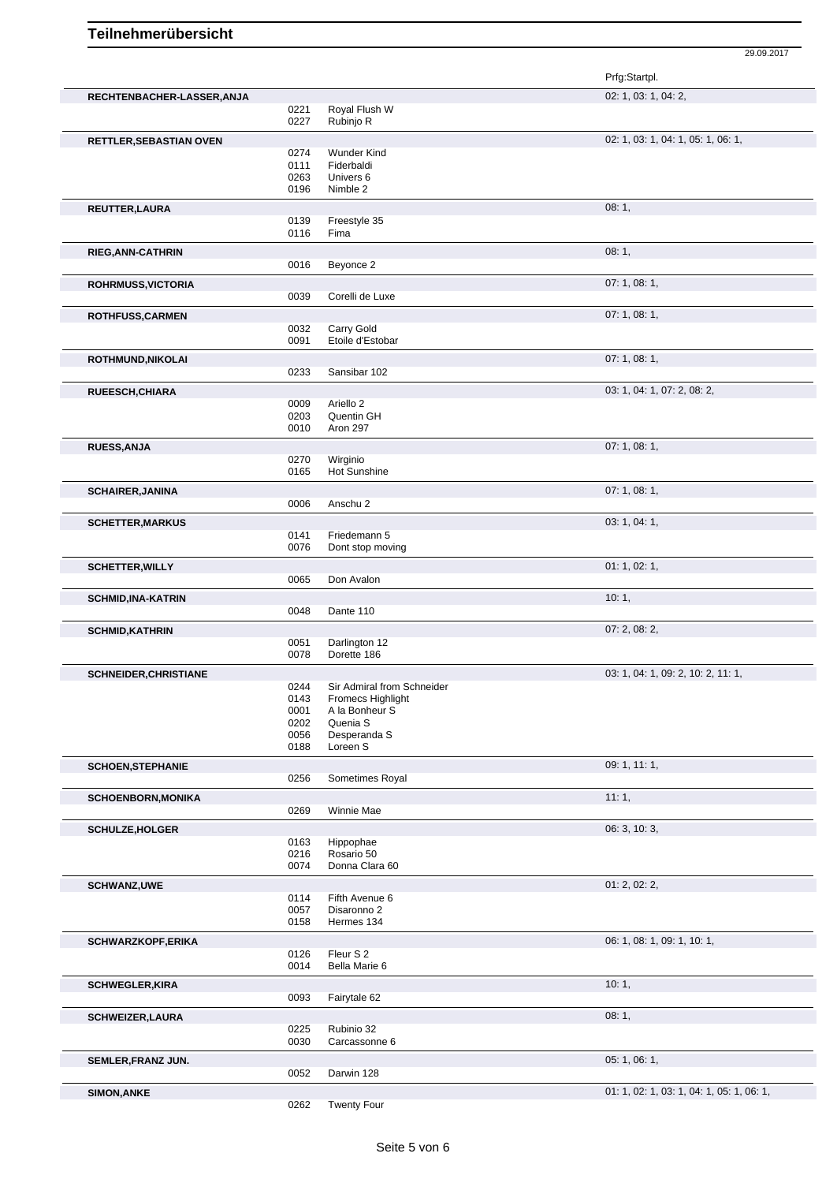|                              |              |                              | Prfg:Startpl.                             |
|------------------------------|--------------|------------------------------|-------------------------------------------|
| RECHTENBACHER-LASSER, ANJA   |              |                              | 02: 1, 03: 1, 04: 2,                      |
|                              | 0221         | Royal Flush W                |                                           |
|                              | 0227         | Rubinjo R                    |                                           |
|                              |              |                              | 02: 1, 03: 1, 04: 1, 05: 1, 06: 1,        |
| RETTLER, SEBASTIAN OVEN      | 0274         | <b>Wunder Kind</b>           |                                           |
|                              | 0111         | Fiderbaldi                   |                                           |
|                              | 0263         | Univers 6                    |                                           |
|                              | 0196         | Nimble 2                     |                                           |
|                              |              |                              |                                           |
| <b>REUTTER, LAURA</b>        |              |                              | 08:1,                                     |
|                              | 0139<br>0116 | Freestyle 35<br>Fima         |                                           |
|                              |              |                              |                                           |
| <b>RIEG, ANN-CATHRIN</b>     |              |                              | 08:1,                                     |
|                              | 0016         | Beyonce 2                    |                                           |
| ROHRMUSS, VICTORIA           |              |                              | 07:1,08:1,                                |
|                              | 0039         | Corelli de Luxe              |                                           |
|                              |              |                              |                                           |
| ROTHFUSS, CARMEN             |              |                              | 07:1,08:1,                                |
|                              | 0032         | Carry Gold                   |                                           |
|                              | 0091         | Etoile d'Estobar             |                                           |
| ROTHMUND, NIKOLAI            |              |                              | 07:1,08:1,                                |
|                              | 0233         | Sansibar 102                 |                                           |
|                              |              |                              |                                           |
| RUEESCH, CHIARA              |              |                              | 03: 1, 04: 1, 07: 2, 08: 2,               |
|                              | 0009         | Ariello 2                    |                                           |
|                              | 0203<br>0010 | Quentin GH                   |                                           |
|                              |              | Aron 297                     |                                           |
| RUESS, ANJA                  |              |                              | 07: 1, 08: 1,                             |
|                              | 0270         | Wirginio                     |                                           |
|                              | 0165         | Hot Sunshine                 |                                           |
| <b>SCHAIRER, JANINA</b>      |              |                              | 07:1,08:1,                                |
|                              | 0006         | Anschu 2                     |                                           |
|                              |              |                              |                                           |
| <b>SCHETTER, MARKUS</b>      |              |                              | 03: 1, 04: 1,                             |
|                              | 0141         | Friedemann 5                 |                                           |
|                              | 0076         | Dont stop moving             |                                           |
| <b>SCHETTER, WILLY</b>       |              |                              | 01: 1, 02: 1,                             |
|                              | 0065         | Don Avalon                   |                                           |
|                              |              |                              | 10:1,                                     |
| <b>SCHMID, INA-KATRIN</b>    | 0048         |                              |                                           |
|                              |              | Dante 110                    |                                           |
| <b>SCHMID, KATHRIN</b>       |              |                              | 07:2,08:2,                                |
|                              | 0051         | Darlington 12                |                                           |
|                              | 0078         | Dorette 186                  |                                           |
| <b>SCHNEIDER, CHRISTIANE</b> |              |                              | 03: 1, 04: 1, 09: 2, 10: 2, 11: 1,        |
|                              | 0244         | Sir Admiral from Schneider   |                                           |
|                              | 0143         | Fromecs Highlight            |                                           |
|                              | 0001         | A la Bonheur S               |                                           |
|                              | 0202         | Quenia S                     |                                           |
|                              | 0056         | Desperanda S                 |                                           |
|                              | 0188         | Loreen S                     |                                           |
| <b>SCHOEN, STEPHANIE</b>     |              |                              | 09: 1, 11: 1,                             |
|                              | 0256         | Sometimes Royal              |                                           |
| <b>SCHOENBORN, MONIKA</b>    |              |                              | 11:1,                                     |
|                              | 0269         | Winnie Mae                   |                                           |
|                              |              |                              |                                           |
| <b>SCHULZE, HOLGER</b>       |              |                              | 06: 3, 10: 3,                             |
|                              | 0163         | Hippophae                    |                                           |
|                              | 0216         | Rosario 50<br>Donna Clara 60 |                                           |
|                              | 0074         |                              |                                           |
| <b>SCHWANZ,UWE</b>           |              |                              | 01: 2, 02: 2,                             |
|                              | 0114         | Fifth Avenue 6               |                                           |
|                              | 0057         | Disaronno 2                  |                                           |
|                              | 0158         | Hermes 134                   |                                           |
| <b>SCHWARZKOPF, ERIKA</b>    |              |                              | 06: 1, 08: 1, 09: 1, 10: 1,               |
|                              | 0126         | Fleur S 2                    |                                           |
|                              | 0014         | Bella Marie 6                |                                           |
|                              |              |                              |                                           |
| <b>SCHWEGLER, KIRA</b>       |              |                              | 10:1,                                     |
|                              | 0093         | Fairytale 62                 |                                           |
| <b>SCHWEIZER, LAURA</b>      |              |                              | 08:1,                                     |
|                              | 0225         | Rubinio 32                   |                                           |
|                              | 0030         | Carcassonne 6                |                                           |
| SEMLER, FRANZ JUN.           |              |                              | 05:1,06:1,                                |
|                              | 0052         | Darwin 128                   |                                           |
|                              |              |                              |                                           |
| <b>SIMON, ANKE</b>           |              |                              | 01: 1, 02: 1, 03: 1, 04: 1, 05: 1, 06: 1, |
|                              | 0262         | <b>Twenty Four</b>           |                                           |